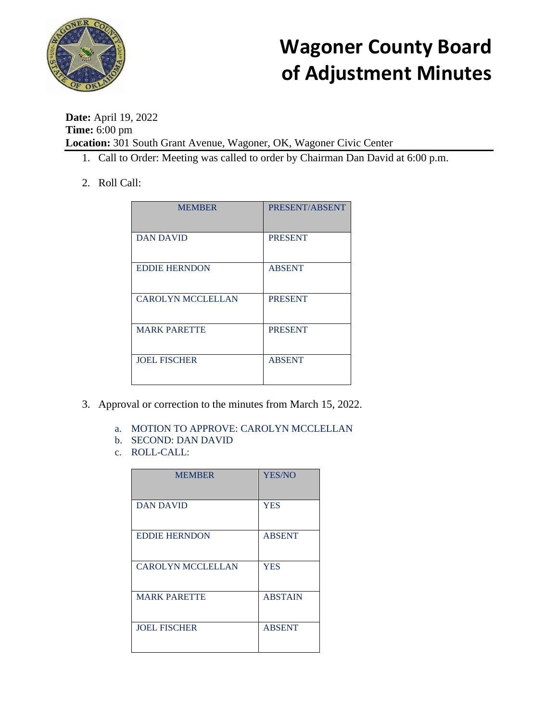

**Date:** April 19, 2022 **Time:** 6:00 pm **Location:** 301 South Grant Avenue, Wagoner, OK, Wagoner Civic Center

- 1. Call to Order: Meeting was called to order by Chairman Dan David at 6:00 p.m.
- 2. Roll Call:

| <b>MEMBER</b>            | PRESENT/ABSENT |
|--------------------------|----------------|
| <b>DAN DAVID</b>         | <b>PRESENT</b> |
| <b>EDDIE HERNDON</b>     | <b>ABSENT</b>  |
| <b>CAROLYN MCCLELLAN</b> | <b>PRESENT</b> |
| <b>MARK PARETTE</b>      | <b>PRESENT</b> |
| <b>JOEL FISCHER</b>      | <b>ABSENT</b>  |

- 3. Approval or correction to the minutes from March 15, 2022.
	- a. MOTION TO APPROVE: CAROLYN MCCLELLAN
	- b. SECOND: DAN DAVID
	- c. ROLL-CALL:

| <b>MEMBER</b>            | YES/NO         |
|--------------------------|----------------|
| <b>DAN DAVID</b>         | <b>YES</b>     |
| <b>EDDIE HERNDON</b>     | <b>ABSENT</b>  |
| <b>CAROLYN MCCLELLAN</b> | <b>YES</b>     |
| <b>MARK PARETTE</b>      | <b>ABSTAIN</b> |
| <b>JOEL FISCHER</b>      | <b>ABSENT</b>  |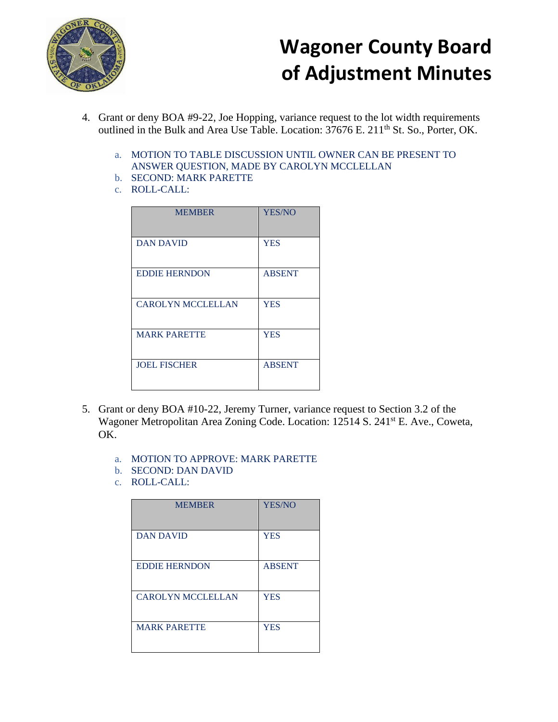

- 4. Grant or deny BOA #9-22, Joe Hopping, variance request to the lot width requirements outlined in the Bulk and Area Use Table. Location: 37676 E. 211<sup>th</sup> St. So., Porter, OK.
	- a. MOTION TO TABLE DISCUSSION UNTIL OWNER CAN BE PRESENT TO ANSWER QUESTION, MADE BY CAROLYN MCCLELLAN
	- b. SECOND: MARK PARETTE
	- c. ROLL-CALL:

| <b>MEMBER</b>            | <b>YES/NO</b> |
|--------------------------|---------------|
| <b>DAN DAVID</b>         | <b>YES</b>    |
| <b>EDDIE HERNDON</b>     | <b>ABSENT</b> |
| <b>CAROLYN MCCLELLAN</b> | <b>YES</b>    |
| <b>MARK PARETTE</b>      | <b>YES</b>    |
| <b>JOEL FISCHER</b>      | <b>ABSENT</b> |

- 5. Grant or deny BOA #10-22, Jeremy Turner, variance request to Section 3.2 of the Wagoner Metropolitan Area Zoning Code. Location: 12514 S. 241<sup>st</sup> E. Ave., Coweta, OK.
	- a. MOTION TO APPROVE: MARK PARETTE
	- b. SECOND: DAN DAVID
	- c. ROLL-CALL:

| <b>MEMBER</b>            | <b>YES/NO</b> |
|--------------------------|---------------|
| <b>DAN DAVID</b>         | <b>YES</b>    |
| <b>EDDIE HERNDON</b>     | <b>ABSENT</b> |
| <b>CAROLYN MCCLELLAN</b> | <b>YES</b>    |
| <b>MARK PARETTE</b>      | <b>YES</b>    |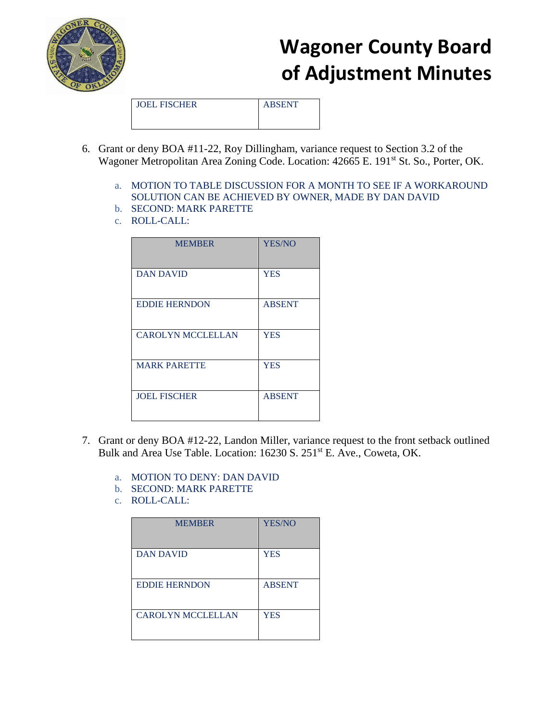

JOEL FISCHER ABSENT

- 6. Grant or deny BOA #11-22, Roy Dillingham, variance request to Section 3.2 of the Wagoner Metropolitan Area Zoning Code. Location: 42665 E. 191<sup>st</sup> St. So., Porter, OK.
	- a. MOTION TO TABLE DISCUSSION FOR A MONTH TO SEE IF A WORKAROUND SOLUTION CAN BE ACHIEVED BY OWNER, MADE BY DAN DAVID
	- b. SECOND: MARK PARETTE
	- c. ROLL-CALL:

| <b>MEMBER</b>            | <b>YES/NO</b> |
|--------------------------|---------------|
| <b>DAN DAVID</b>         | <b>YES</b>    |
| <b>EDDIE HERNDON</b>     | <b>ABSENT</b> |
| <b>CAROLYN MCCLELLAN</b> | <b>YES</b>    |
| <b>MARK PARETTE</b>      | <b>YES</b>    |
| <b>JOEL FISCHER</b>      | <b>ABSENT</b> |

- 7. Grant or deny BOA #12-22, Landon Miller, variance request to the front setback outlined Bulk and Area Use Table. Location: 16230 S. 251<sup>st</sup> E. Ave., Coweta, OK.
	- a. MOTION TO DENY: DAN DAVID
	- b. SECOND: MARK PARETTE
	- c. ROLL-CALL:

| <b>MEMBER</b>            | <b>YES/NO</b> |
|--------------------------|---------------|
| <b>DAN DAVID</b>         | <b>YES</b>    |
| <b>EDDIE HERNDON</b>     | <b>ABSENT</b> |
| <b>CAROLYN MCCLELLAN</b> | <b>YES</b>    |